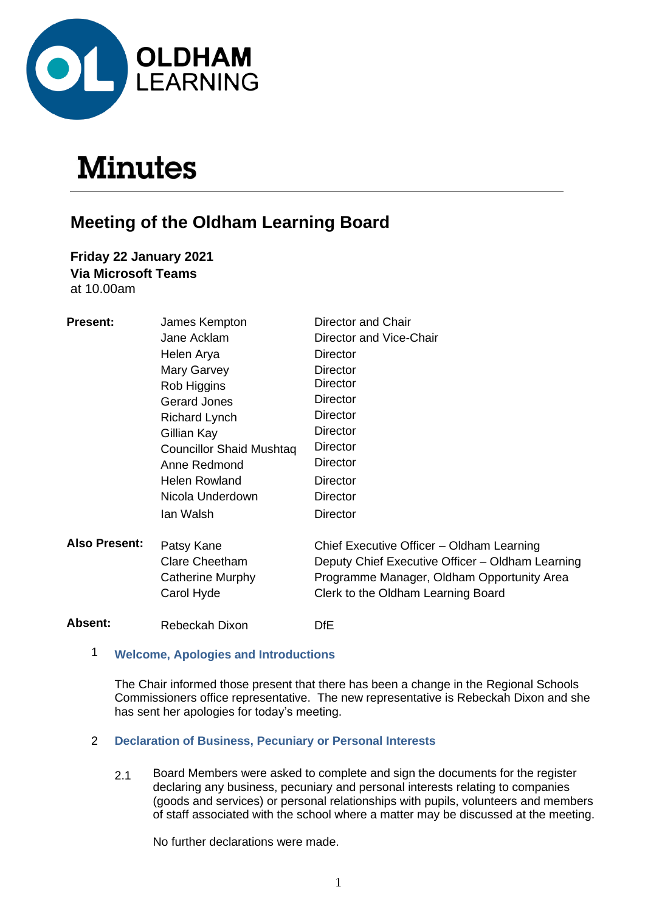

# **Minutes**

# **Meeting of the Oldham Learning Board**

**Friday 22 January 2021 Via Microsoft Teams** at 10.00am

| <b>Present:</b>      | James Kempton                                                         | Director and Chair                                                                                                                                                                |
|----------------------|-----------------------------------------------------------------------|-----------------------------------------------------------------------------------------------------------------------------------------------------------------------------------|
|                      | Jane Acklam                                                           | Director and Vice-Chair                                                                                                                                                           |
|                      | Helen Arya                                                            | Director                                                                                                                                                                          |
|                      | Mary Garvey                                                           | Director                                                                                                                                                                          |
|                      | Rob Higgins                                                           | Director                                                                                                                                                                          |
|                      | <b>Gerard Jones</b>                                                   | Director                                                                                                                                                                          |
|                      | <b>Richard Lynch</b>                                                  | <b>Director</b>                                                                                                                                                                   |
|                      | Gillian Kay                                                           | <b>Director</b>                                                                                                                                                                   |
|                      | <b>Councillor Shaid Mushtaq</b>                                       | <b>Director</b>                                                                                                                                                                   |
|                      | Anne Redmond                                                          | <b>Director</b>                                                                                                                                                                   |
|                      | <b>Helen Rowland</b>                                                  | <b>Director</b>                                                                                                                                                                   |
|                      | Nicola Underdown                                                      | <b>Director</b>                                                                                                                                                                   |
|                      | lan Walsh                                                             | <b>Director</b>                                                                                                                                                                   |
| <b>Also Present:</b> | Patsy Kane<br><b>Clare Cheetham</b><br>Catherine Murphy<br>Carol Hyde | Chief Executive Officer - Oldham Learning<br>Deputy Chief Executive Officer - Oldham Learning<br>Programme Manager, Oldham Opportunity Area<br>Clerk to the Oldham Learning Board |
| Absent:              | Rebeckah Dixon                                                        | <b>DfE</b>                                                                                                                                                                        |
|                      |                                                                       |                                                                                                                                                                                   |

# 1 **Welcome, Apologies and Introductions**

The Chair informed those present that there has been a change in the Regional Schools Commissioners office representative. The new representative is Rebeckah Dixon and she has sent her apologies for today's meeting.

# 2 **Declaration of Business, Pecuniary or Personal Interests**

2.1 Board Members were asked to complete and sign the documents for the register declaring any business, pecuniary and personal interests relating to companies (goods and services) or personal relationships with pupils, volunteers and members of staff associated with the school where a matter may be discussed at the meeting.

No further declarations were made.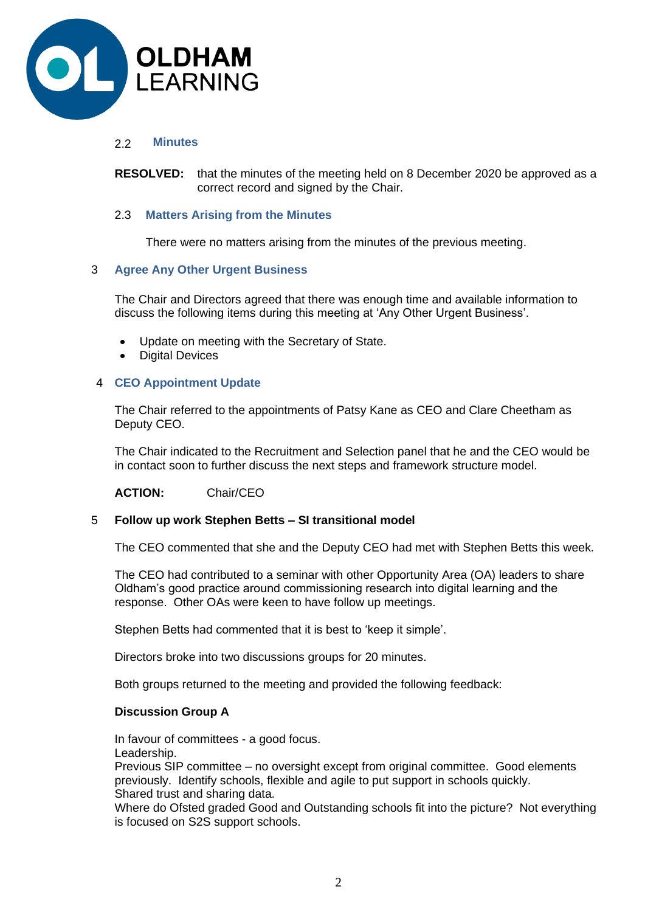

# 2.2 **Minutes**

**RESOLVED:** that the minutes of the meeting held on 8 December 2020 be approved as a correct record and signed by the Chair.

# 2.3 **Matters Arising from the Minutes**

There were no matters arising from the minutes of the previous meeting.

# 3 **Agree Any Other Urgent Business**

The Chair and Directors agreed that there was enough time and available information to discuss the following items during this meeting at 'Any Other Urgent Business'.

- Update on meeting with the Secretary of State.
- Digital Devices

# 4 **CEO Appointment Update**

The Chair referred to the appointments of Patsy Kane as CEO and Clare Cheetham as Deputy CEO.

The Chair indicated to the Recruitment and Selection panel that he and the CEO would be in contact soon to further discuss the next steps and framework structure model.

**ACTION:** Chair/CEO

#### 5 **Follow up work Stephen Betts – SI transitional model**

The CEO commented that she and the Deputy CEO had met with Stephen Betts this week.

The CEO had contributed to a seminar with other Opportunity Area (OA) leaders to share Oldham's good practice around commissioning research into digital learning and the response. Other OAs were keen to have follow up meetings.

Stephen Betts had commented that it is best to 'keep it simple'.

Directors broke into two discussions groups for 20 minutes.

Both groups returned to the meeting and provided the following feedback:

#### **Discussion Group A**

In favour of committees - a good focus. Leadership.

Previous SIP committee – no oversight except from original committee. Good elements previously. Identify schools, flexible and agile to put support in schools quickly. Shared trust and sharing data.

Where do Ofsted graded Good and Outstanding schools fit into the picture? Not everything is focused on S2S support schools.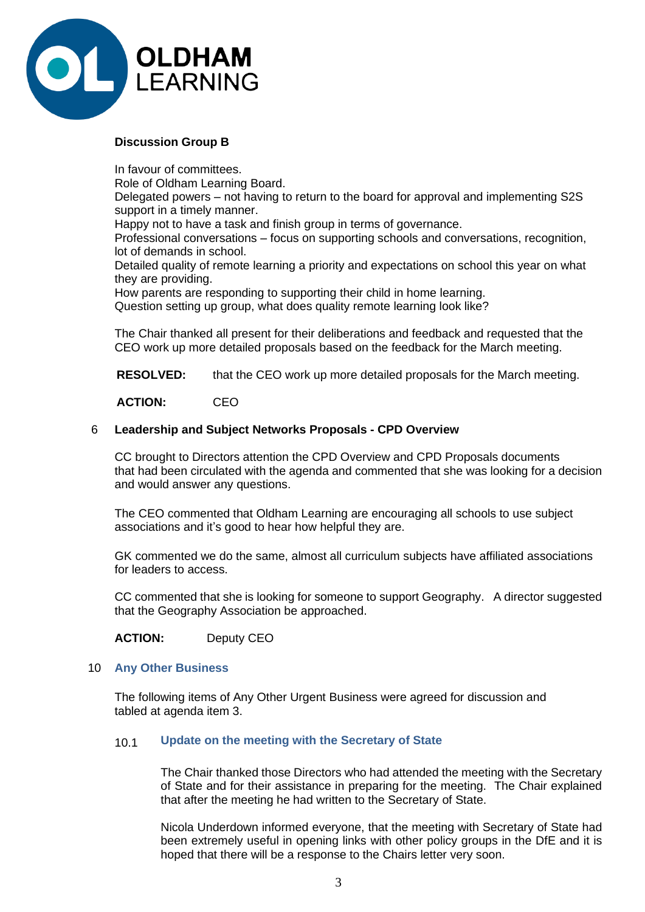

# **Discussion Group B**

In favour of committees.

Role of Oldham Learning Board.

Delegated powers – not having to return to the board for approval and implementing S2S support in a timely manner.

Happy not to have a task and finish group in terms of governance.

Professional conversations – focus on supporting schools and conversations, recognition, lot of demands in school.

Detailed quality of remote learning a priority and expectations on school this year on what they are providing.

How parents are responding to supporting their child in home learning. Question setting up group, what does quality remote learning look like?

The Chair thanked all present for their deliberations and feedback and requested that the CEO work up more detailed proposals based on the feedback for the March meeting.

**RESOLVED:** that the CEO work up more detailed proposals for the March meeting.

**ACTION:** CEO

# 6 **Leadership and Subject Networks Proposals - CPD Overview**

CC brought to Directors attention the CPD Overview and CPD Proposals documents that had been circulated with the agenda and commented that she was looking for a decision and would answer any questions.

The CEO commented that Oldham Learning are encouraging all schools to use subject associations and it's good to hear how helpful they are.

GK commented we do the same, almost all curriculum subjects have affiliated associations for leaders to access.

CC commented that she is looking for someone to support Geography. A director suggested that the Geography Association be approached.

**ACTION:** Deputy CEO

#### 10 **Any Other Business**

The following items of Any Other Urgent Business were agreed for discussion and tabled at agenda item 3.

# 10.1 **Update on the meeting with the Secretary of State**

The Chair thanked those Directors who had attended the meeting with the Secretary of State and for their assistance in preparing for the meeting. The Chair explained that after the meeting he had written to the Secretary of State.

Nicola Underdown informed everyone, that the meeting with Secretary of State had been extremely useful in opening links with other policy groups in the DfE and it is hoped that there will be a response to the Chairs letter very soon.